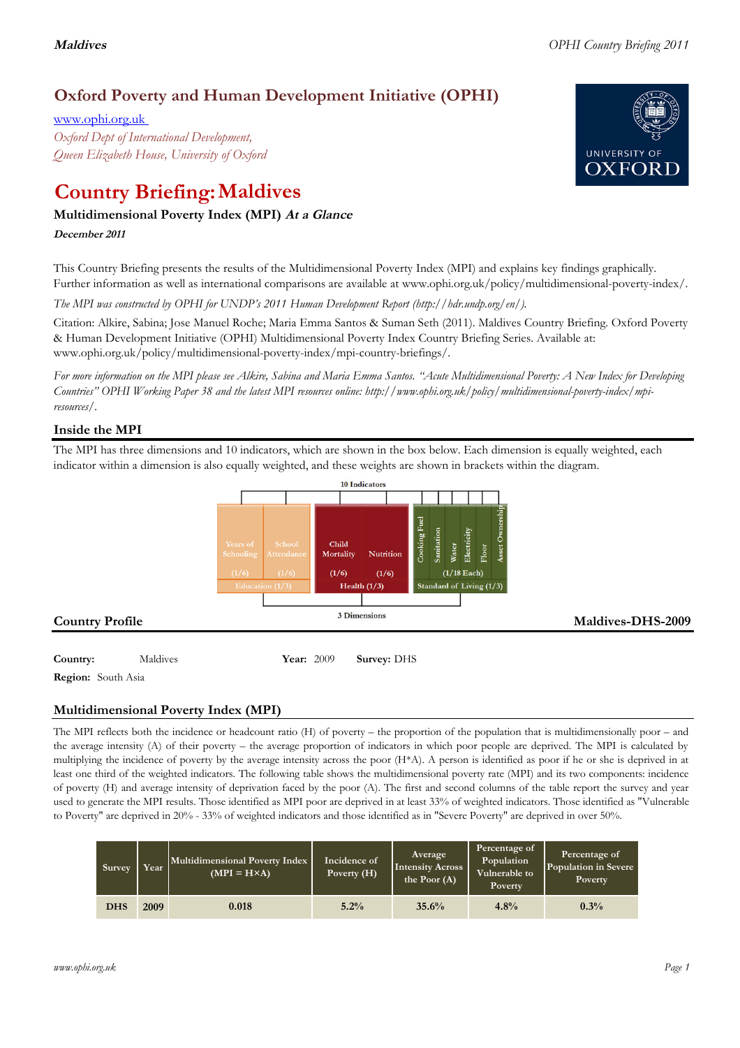## **Oxford Poverty and Human Development Initiative (OPHI)**

www.ophi.org.uk *Oxford Dept of International Development, Queen Elizabeth House, University of Oxford*

# **Country Briefing: Maldives**

### **Multidimensional Poverty Index (MPI) At <sup>a</sup> Glance**

**December <sup>2011</sup>**

This Country Briefing presents the results of the Multidimensional Poverty Index (MPI) and explains key findings graphically. Further information as well as international comparisons are available at www.ophi.org.uk/policy/multidimensional-poverty-index/.

*The MPI was constructed by OPHI for UNDP's 2011 Human Development Report (http://hdr.undp.org/en/).*

Citation: Alkire, Sabina; Jose Manuel Roche; Maria Emma Santos & Suman Seth (2011). Maldives Country Briefing. Oxford Poverty & Human Development Initiative (OPHI) Multidimensional Poverty Index Country Briefing Series. Available at: www.ophi.org.uk/policy/multidimensional-poverty-index/mpi-country-briefings/.

*For more information on the MPI please see Alkire, Sabina and Maria Emma Santos. "Acute Multidimensional Poverty: A New Index for Developing Countries" OPHI Working Paper 38 and the latest MPI resources online: http://www.ophi.org.uk/policy/multidimensional-poverty-index/mpiresources/.*

### **Inside the MPI**

The MPI has three dimensions and 10 indicators, which are shown in the box below. Each dimension is equally weighted, each indicator within a dimension is also equally weighted, and these weights are shown in brackets within the diagram.



**Region:** South Asia

### **Multidimensional Poverty Index (MPI)**

The MPI reflects both the incidence or headcount ratio (H) of poverty – the proportion of the population that is multidimensionally poor – and the average intensity (A) of their poverty – the average proportion of indicators in which poor people are deprived. The MPI is calculated by multiplying the incidence of poverty by the average intensity across the poor (H\*A). A person is identified as poor if he or she is deprived in at least one third of the weighted indicators. The following table shows the multidimensional poverty rate (MPI) and its two components: incidence of poverty (H) and average intensity of deprivation faced by the poor (A). The first and second columns of the table report the survey and year used to generate the MPI results. Those identified as MPI poor are deprived in at least 33% of weighted indicators. Those identified as "Vulnerable to Poverty" are deprived in 20% - 33% of weighted indicators and those identified as in "Severe Poverty" are deprived in over 50%.

| Survey     | Year | Multidimensional Poverty Index<br>$(MPI = H \times A)$ | Incidence of<br>Poverty (H) | Average<br><b>Intensity Across</b><br>the Poor $(A)$ | Percentage of<br>Population<br>Vulnerable to<br>Poverty | Percentage of<br>Population in Severe<br>Poverty |
|------------|------|--------------------------------------------------------|-----------------------------|------------------------------------------------------|---------------------------------------------------------|--------------------------------------------------|
| <b>DHS</b> | 2009 | 0.018                                                  | 5.2%                        | 35.6%                                                | 4.8%                                                    | 0.3%                                             |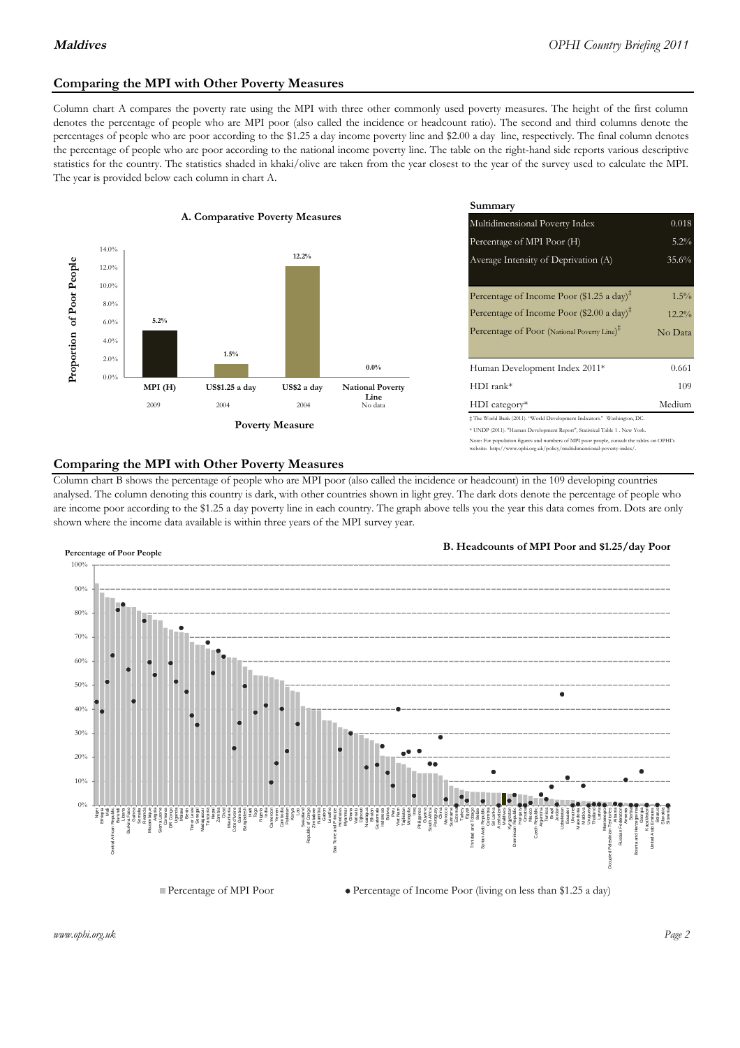### **Comparing the MPI with Other Poverty Measures**

Column chart A compares the poverty rate using the MPI with three other commonly used poverty measures. The height of the first column denotes the percentage of people who are MPI poor (also called the incidence or headcount ratio). The second and third columns denote the percentages of people who are poor according to the \$1.25 a day income poverty line and \$2.00 a day line, respectively. The final column denotes the percentage of people who are poor according to the national income poverty line. The table on the right-hand side reports various descriptive statistics for the country. The statistics shaded in khaki/olive are taken from the year closest to the year of the survey used to calculate the MPI. The year is provided below each column in chart A.



|                |                         | Summary                                                                                                                                                |          |  |  |
|----------------|-------------------------|--------------------------------------------------------------------------------------------------------------------------------------------------------|----------|--|--|
| erty Measures  |                         | 0.018<br>Multidimensional Poverty Index                                                                                                                |          |  |  |
|                |                         | Percentage of MPI Poor (H)                                                                                                                             | 5.2%     |  |  |
| 12.2%          |                         | Average Intensity of Deprivation (A)<br>35.6%                                                                                                          |          |  |  |
|                |                         | Percentage of Income Poor (\$1.25 a day) <sup><math>\ddagger</math></sup>                                                                              | $1.5\%$  |  |  |
|                |                         | Percentage of Income Poor (\$2.00 a day) <sup><math>\bar{x}</math></sup>                                                                               | $12.2\%$ |  |  |
|                |                         | Percentage of Poor (National Poverty Line) <sup>#</sup>                                                                                                | No Data  |  |  |
|                | $0.0\%$                 | Human Development Index 2011*                                                                                                                          | 0.661    |  |  |
| US\$2 a day    | <b>National Poverty</b> | $HDI$ rank*                                                                                                                                            | 109      |  |  |
| 2004           | Line<br>No data         | $HDI category*$                                                                                                                                        | Medium   |  |  |
| <b>Aeasure</b> |                         | # The World Bank (2011). "World Development Indicators." Washington, DC.<br>* UNDP (2011). "Human Development Report", Statistical Table 1 . New York. |          |  |  |
|                |                         | Note: For population figures and numbers of MPI poor people, consult the tables on OPHI's                                                              |          |  |  |

### **Comparing the MPI with Other Poverty Measures**

Column chart B shows the percentage of people who are MPI poor (also called the incidence or headcount) in the 109 developing countries analysed. The column denoting this country is dark, with other countries shown in light grey. The dark dots denote the percentage of people who are income poor according to the \$1.25 a day poverty line in each country. The graph above tells you the year this data comes from. Dots are only shown where the income data available is within three years of the MPI survey year.



**B. Headcounts of MPI Poor and \$1.25/day Poor**

te: http://www.ophi.org.uk/policy/multidimensional-poverty-index/



*www.ophi.org.uk Page 2*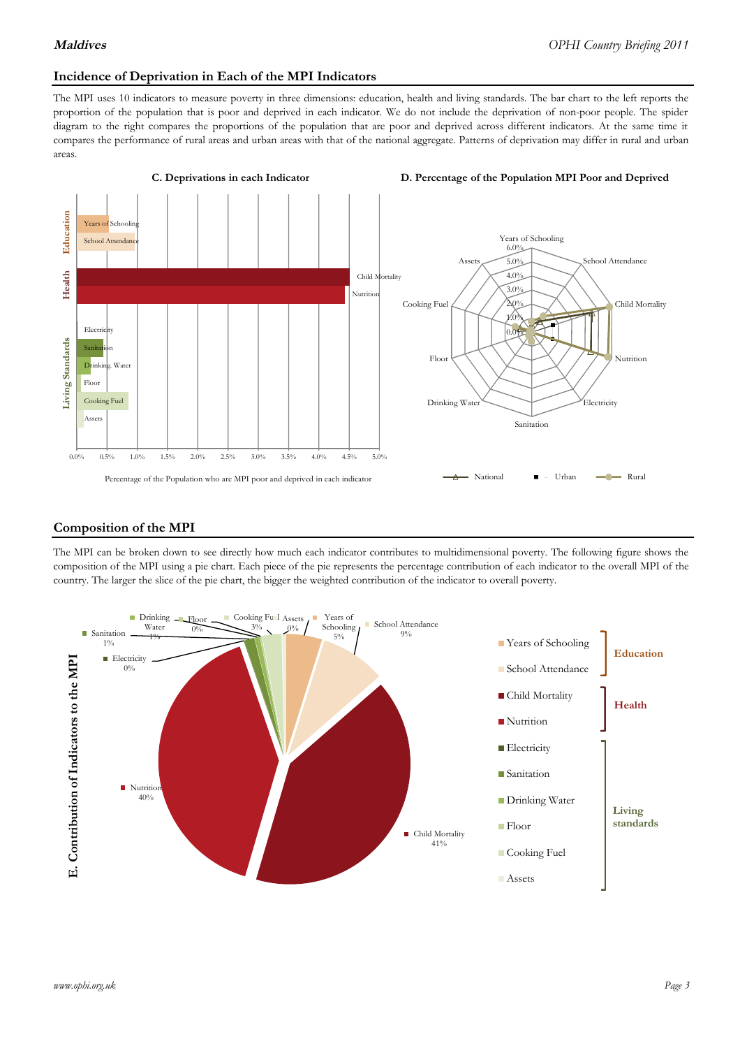### **Incidence of Deprivation in Each of the MPI Indicators**

The MPI uses 10 indicators to measure poverty in three dimensions: education, health and living standards. The bar chart to the left reports the proportion of the population that is poor and deprived in each indicator. We do not include the deprivation of non-poor people. The spider diagram to the right compares the proportions of the population that are poor and deprived across different indicators. At the same time it compares the performance of rural areas and urban areas with that of the national aggregate. Patterns of deprivation may differ in rural and urban areas.



### **Composition of the MPI**

The MPI can be broken down to see directly how much each indicator contributes to multidimensional poverty. The following figure shows the composition of the MPI using a pie chart. Each piece of the pie represents the percentage contribution of each indicator to the overall MPI of the country. The larger the slice of the pie chart, the bigger the weighted contribution of the indicator to overall poverty.